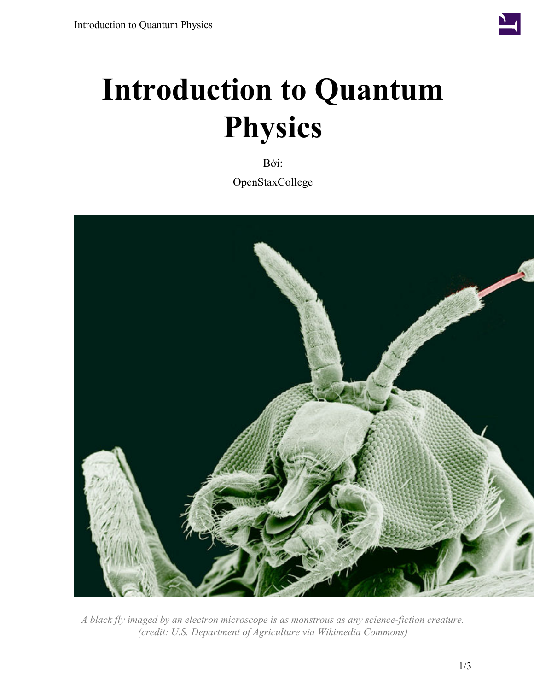

## **Introduction to Quantum Physics**

Bởi: OpenStaxCollege



*A black fly imaged by an electron microscope is as monstrous as any science-fiction creature. (credit: U.S. Department of Agriculture via Wikimedia Commons)*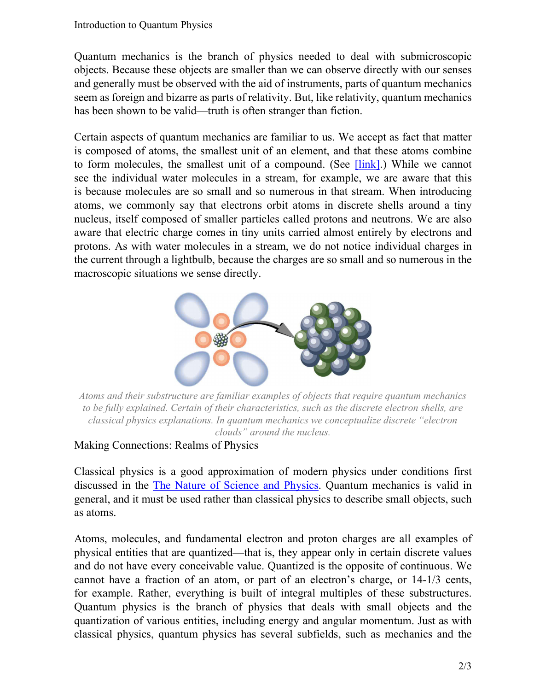Quantum mechanics is the branch of physics needed to deal with submicroscopic objects. Because these objects are smaller than we can observe directly with our senses and generally must be observed with the aid of instruments, parts of quantum mechanics seem as foreign and bizarre as parts of relativity. But, like relativity, quantum mechanics has been shown to be valid—truth is often stranger than fiction.

Certain aspects of quantum mechanics are familiar to us. We accept as fact that matter is composed of atoms, the smallest unit of an element, and that these atoms combine to form molecules, the smallest unit of a compound. (See [\[link\].](#page-1-0)) While we cannot see the individual water molecules in a stream, for example, we are aware that this is because molecules are so small and so numerous in that stream. When introducing atoms, we commonly say that electrons orbit atoms in discrete shells around a tiny nucleus, itself composed of smaller particles called protons and neutrons. We are also aware that electric charge comes in tiny units carried almost entirely by electrons and protons. As with water molecules in a stream, we do not notice individual charges in the current through a lightbulb, because the charges are so small and so numerous in the macroscopic situations we sense directly.

<span id="page-1-0"></span>

*Atoms and their substructure are familiar examples of objects that require quantum mechanics to be fully explained. Certain of their characteristics, such as the discrete electron shells, are classical physics explanations. In quantum mechanics we conceptualize discrete "electron clouds" around the nucleus.*

Making Connections: Realms of Physics

Classical physics is a good approximation of modern physics under conditions first discussed in the The Nature of [Science](/m42119) and Physics. Quantum mechanics is valid in general, and it must be used rather than classical physics to describe small objects, such as atoms.

Atoms, molecules, and fundamental electron and proton charges are all examples of physical entities that are quantized—that is, they appear only in certain discrete values and do not have every conceivable value. Quantized is the opposite of continuous. We cannot have a fraction of an atom, or part of an electron's charge, or 14-1/3 cents, for example. Rather, everything is built of integral multiples of these substructures. Quantum physics is the branch of physics that deals with small objects and the quantization of various entities, including energy and angular momentum. Just as with classical physics, quantum physics has several subfields, such as mechanics and the